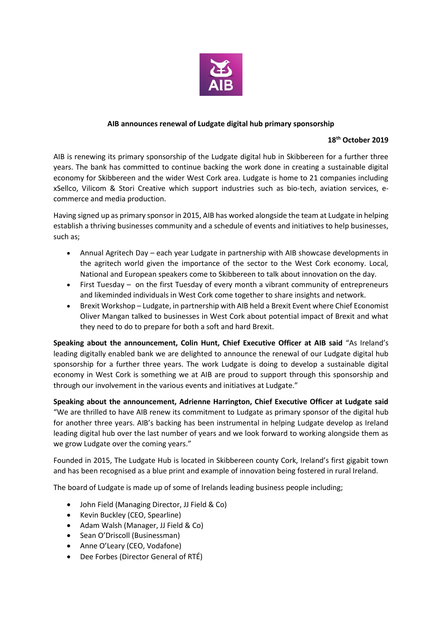

## **AIB announces renewal of Ludgate digital hub primary sponsorship**

## **18th October 2019**

AIB is renewing its primary sponsorship of the Ludgate digital hub in Skibbereen for a further three years. The bank has committed to continue backing the work done in creating a sustainable digital economy for Skibbereen and the wider West Cork area. Ludgate is home to 21 companies including xSellco, Vilicom & Stori Creative which support industries such as bio-tech, aviation services, ecommerce and media production.

Having signed up as primary sponsor in 2015, AIB has worked alongside the team at Ludgate in helping establish a thriving businesses community and a schedule of events and initiatives to help businesses, such as;

- Annual Agritech Day each year Ludgate in partnership with AIB showcase developments in the agritech world given the importance of the sector to the West Cork economy. Local, National and European speakers come to Skibbereen to talk about innovation on the day.
- First Tuesday on the first Tuesday of every month a vibrant community of entrepreneurs and likeminded individuals in West Cork come together to share insights and network.
- Brexit Workshop Ludgate, in partnership with AIB held a Brexit Event where Chief Economist Oliver Mangan talked to businesses in West Cork about potential impact of Brexit and what they need to do to prepare for both a soft and hard Brexit.

**Speaking about the announcement, Colin Hunt, Chief Executive Officer at AIB said** "As Ireland's leading digitally enabled bank we are delighted to announce the renewal of our Ludgate digital hub sponsorship for a further three years. The work Ludgate is doing to develop a sustainable digital economy in West Cork is something we at AIB are proud to support through this sponsorship and through our involvement in the various events and initiatives at Ludgate."

**Speaking about the announcement, Adrienne Harrington, Chief Executive Officer at Ludgate said** "We are thrilled to have AIB renew its commitment to Ludgate as primary sponsor of the digital hub for another three years. AIB's backing has been instrumental in helping Ludgate develop as Ireland leading digital hub over the last number of years and we look forward to working alongside them as we grow Ludgate over the coming years."

Founded in 2015, The Ludgate Hub is located in Skibbereen county Cork, Ireland's first gigabit town and has been recognised as a blue print and example of innovation being fostered in rural Ireland.

The board of Ludgate is made up of some of Irelands leading business people including;

- John Field (Managing Director, JJ Field & Co)
- Kevin Buckley (CEO, Spearline)
- Adam Walsh (Manager, JJ Field & Co)
- Sean O'Driscoll (Businessman)
- Anne O'Leary (CEO, Vodafone)
- Dee Forbes (Director General of RTÉ)